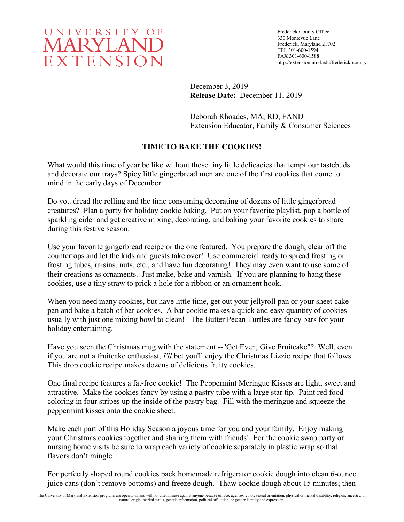

Frederick County Office 330 Montevue Lane Frederick, Maryland 21702 TEL 301-600-1594 FAX 301-600-1588 http://extension.umd.edu/frederick-county

December 3, 2019 **Release Date:** December 11, 2019

Deborah Rhoades, MA, RD, FAND Extension Educator, Family & Consumer Sciences

# **TIME TO BAKE THE COOKIES!**

What would this time of year be like without those tiny little delicacies that tempt our tastebuds and decorate our trays? Spicy little gingerbread men are one of the first cookies that come to mind in the early days of December.

Do you dread the rolling and the time consuming decorating of dozens of little gingerbread creatures? Plan a party for holiday cookie baking. Put on your favorite playlist, pop a bottle of sparkling cider and get creative mixing, decorating, and baking your favorite cookies to share during this festive season.

Use your favorite gingerbread recipe or the one featured. You prepare the dough, clear off the countertops and let the kids and guests take over! Use commercial ready to spread frosting or frosting tubes, raisins, nuts, etc., and have fun decorating! They may even want to use some of their creations as ornaments. Just make, bake and varnish. If you are planning to hang these cookies, use a tiny straw to prick a hole for a ribbon or an ornament hook.

When you need many cookies, but have little time, get out your jellyroll pan or your sheet cake pan and bake a batch of bar cookies. A bar cookie makes a quick and easy quantity of cookies usually with just one mixing bowl to clean! The Butter Pecan Turtles are fancy bars for your holiday entertaining.

Have you seen the Christmas mug with the statement --"Get Even, Give Fruitcake"? Well, even if you are not a fruitcake enthusiast, *I'll* bet you'll enjoy the Christmas Lizzie recipe that follows. This drop cookie recipe makes dozens of delicious fruity cookies.

One final recipe features a fat-free cookie! The Peppermint Meringue Kisses are light, sweet and attractive. Make the cookies fancy by using a pastry tube with a large star tip. Paint red food coloring in four stripes up the inside of the pastry bag. Fill with the meringue and squeeze the peppermint kisses onto the cookie sheet.

Make each part of this Holiday Season a joyous time for you and your family. Enjoy making your Christmas cookies together and sharing them with friends! For the cookie swap party or nursing home visits be sure to wrap each variety of cookie separately in plastic wrap so that flavors don't mingle.

For perfectly shaped round cookies pack homemade refrigerator cookie dough into clean 6-ounce juice cans (don't remove bottoms) and freeze dough. Thaw cookie dough about 15 minutes; then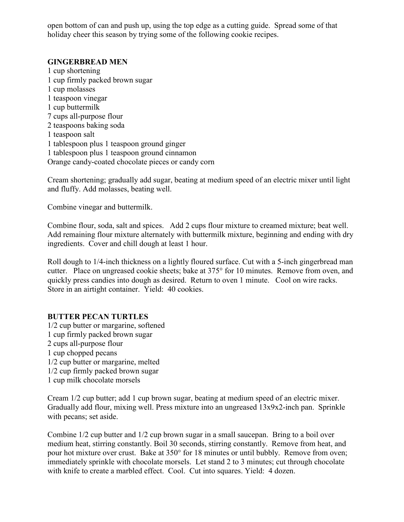open bottom of can and push up, using the top edge as a cutting guide. Spread some of that holiday cheer this season by trying some of the following cookie recipes.

### **GINGERBREAD MEN**

1 cup shortening 1 cup firmly packed brown sugar 1 cup molasses 1 teaspoon vinegar 1 cup buttermilk 7 cups all-purpose flour 2 teaspoons baking soda 1 teaspoon salt 1 tablespoon plus 1 teaspoon ground ginger 1 tablespoon plus 1 teaspoon ground cinnamon Orange candy-coated chocolate pieces or candy corn

Cream shortening; gradually add sugar, beating at medium speed of an electric mixer until light and fluffy. Add molasses, beating well.

Combine vinegar and buttermilk.

Combine flour, soda, salt and spices. Add 2 cups flour mixture to creamed mixture; beat well. Add remaining flour mixture alternately with buttermilk mixture, beginning and ending with dry ingredients. Cover and chill dough at least 1 hour.

Roll dough to 1/4-inch thickness on a lightly floured surface. Cut with a 5-inch gingerbread man cutter. Place on ungreased cookie sheets; bake at 375° for 10 minutes. Remove from oven, and quickly press candies into dough as desired. Return to oven 1 minute. Cool on wire racks. Store in an airtight container. Yield: 40 cookies.

#### **BUTTER PECAN TURTLES**

1/2 cup butter or margarine, softened 1 cup firmly packed brown sugar 2 cups all-purpose flour 1 cup chopped pecans 1/2 cup butter or margarine, melted 1/2 cup firmly packed brown sugar 1 cup milk chocolate morsels

Cream 1/2 cup butter; add 1 cup brown sugar, beating at medium speed of an electric mixer. Gradually add flour, mixing well. Press mixture into an ungreased 13x9x2-inch pan. Sprinkle with pecans; set aside.

Combine 1/2 cup butter and 1/2 cup brown sugar in a small saucepan. Bring to a boil over medium heat, stirring constantly. Boil 30 seconds, stirring constantly. Remove from heat, and pour hot mixture over crust. Bake at 350° for 18 minutes or until bubbly. Remove from oven; immediately sprinkle with chocolate morsels. Let stand 2 to 3 minutes; cut through chocolate with knife to create a marbled effect. Cool. Cut into squares. Yield: 4 dozen.